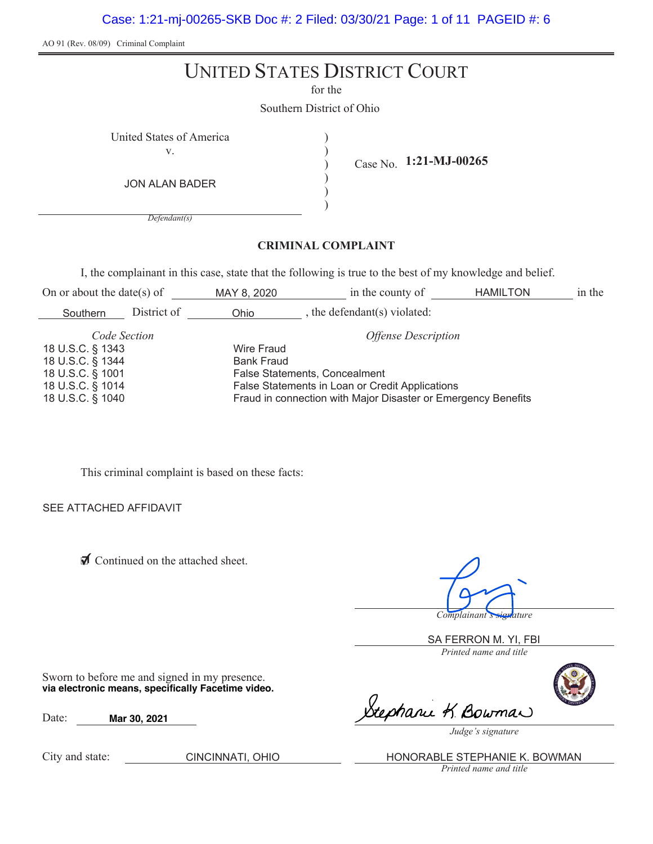Case: 1:21-mj-00265-SKB Doc #: 2 Filed: 03/30/21 Page: 1 of 11 PAGEID #: 6

AO 91 (Rev. 08/09) Criminal Complaint

# UNITED STATES DISTRICT COURT

for the

) ) ) ) )

Southern District of Ohio

United States of America (1996)

v.

JON ALAN BADER

Case No. **1:21-MJ-00265**

*Defendant(s)*

# **CRIMINAL COMPLAINT**

I, the complainant in this case, state that the following is true to the best of my knowledge and belief.

| On or about the date(s) of | MAY 8, 2020       | in the county of                                              | <b>HAMILTON</b> | in the |
|----------------------------|-------------------|---------------------------------------------------------------|-----------------|--------|
| District of<br>Southern    | Ohio              | the defendant(s) violated:                                    |                 |        |
| Code Section               |                   | <b>Offense</b> Description                                    |                 |        |
| 18 U.S.C. § 1343           | Wire Fraud        |                                                               |                 |        |
| 18 U.S.C. § 1344           | <b>Bank Fraud</b> |                                                               |                 |        |
| 18 U.S.C. § 1001           |                   | False Statements, Concealment                                 |                 |        |
| 18 U.S.C. § 1014           |                   | False Statements in Loan or Credit Applications               |                 |        |
| 18 U.S.C. § 1040           |                   | Fraud in connection with Major Disaster or Emergency Benefits |                 |        |

This criminal complaint is based on these facts:

SEE ATTACHED AFFIDAVIT

◯ Continued on the attached sheet.

*Complainant's signature*

*Printed name and title* SA FERRON M. YI, FBI

Stephanie K. Bowman



*Judge's signature*

*Printed name and title* CINCINNATI, OHIO **HONORABLE STEPHANIE K. BOWMAN** 

Sworn to before me and signed in my presence. **via electronic means, specifically Facetime video.**

Date: **Mar 30, 2021**

City and state: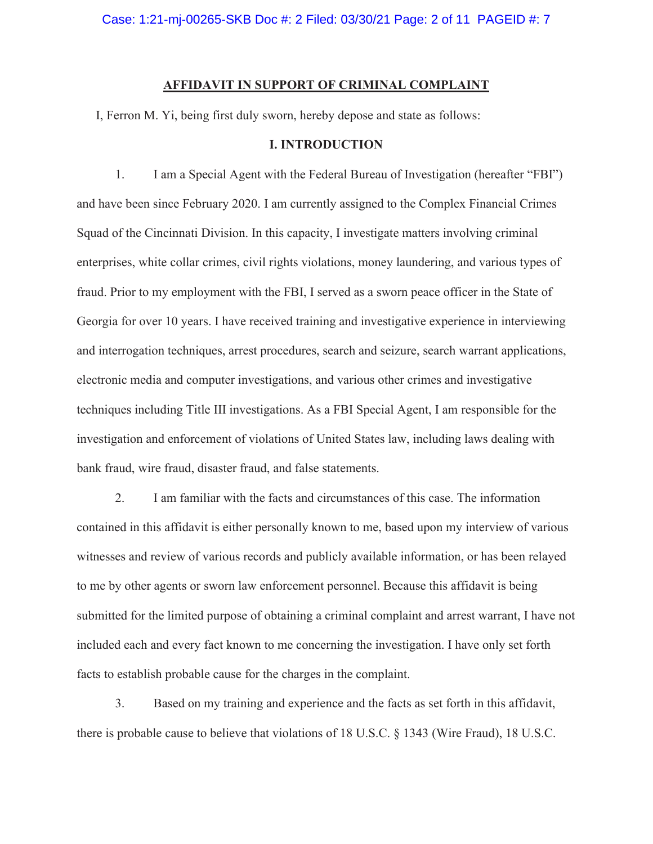Case: 1:21-mj-00265-SKB Doc #: 2 Filed: 03/30/21 Page: 2 of 11 PAGEID #: 7

### **AFFIDAVIT IN SUPPORT OF CRIMINAL COMPLAINT**

I, Ferron M. Yi, being first duly sworn, hereby depose and state as follows:

## **I. INTRODUCTION**

1. I am a Special Agent with the Federal Bureau of Investigation (hereafter "FBI") and have been since February 2020. I am currently assigned to the Complex Financial Crimes Squad of the Cincinnati Division. In this capacity, I investigate matters involving criminal enterprises, white collar crimes, civil rights violations, money laundering, and various types of fraud. Prior to my employment with the FBI, I served as a sworn peace officer in the State of Georgia for over 10 years. I have received training and investigative experience in interviewing and interrogation techniques, arrest procedures, search and seizure, search warrant applications, electronic media and computer investigations, and various other crimes and investigative techniques including Title III investigations. As a FBI Special Agent, I am responsible for the investigation and enforcement of violations of United States law, including laws dealing with bank fraud, wire fraud, disaster fraud, and false statements.

2. I am familiar with the facts and circumstances of this case. The information contained in this affidavit is either personally known to me, based upon my interview of various witnesses and review of various records and publicly available information, or has been relayed to me by other agents or sworn law enforcement personnel. Because this affidavit is being submitted for the limited purpose of obtaining a criminal complaint and arrest warrant, I have not included each and every fact known to me concerning the investigation. I have only set forth facts to establish probable cause for the charges in the complaint.

3. Based on my training and experience and the facts as set forth in this affidavit, there is probable cause to believe that violations of 18 U.S.C. § 1343 (Wire Fraud), 18 U.S.C.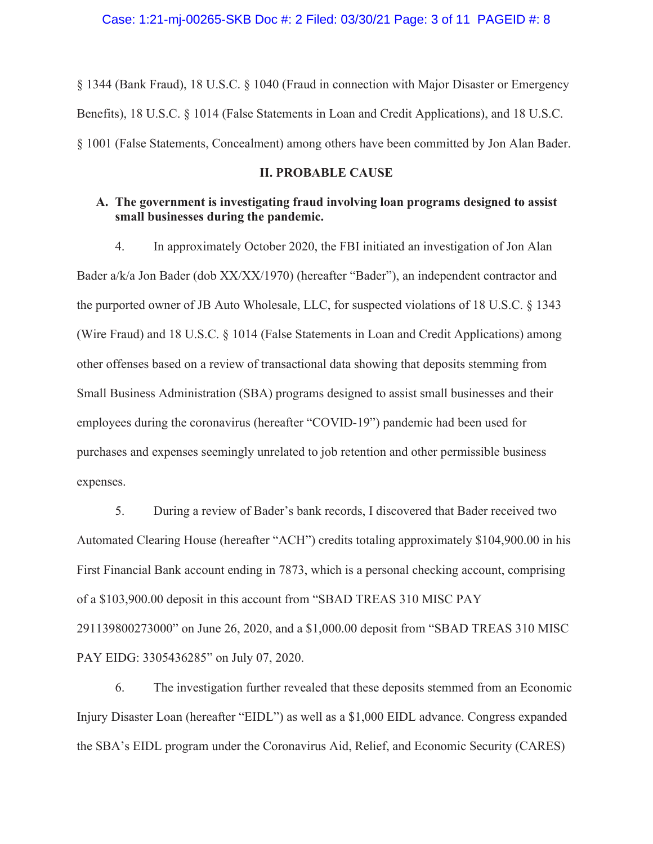§ 1344 (Bank Fraud), 18 U.S.C. § 1040 (Fraud in connection with Major Disaster or Emergency Benefits), 18 U.S.C. § 1014 (False Statements in Loan and Credit Applications), and 18 U.S.C. § 1001 (False Statements, Concealment) among others have been committed by Jon Alan Bader.

## **II. PROBABLE CAUSE**

# **A. The government is investigating fraud involving loan programs designed to assist small businesses during the pandemic.**

4. In approximately October 2020, the FBI initiated an investigation of Jon Alan Bader a/k/a Jon Bader (dob XX/XX/1970) (hereafter "Bader"), an independent contractor and the purported owner of JB Auto Wholesale, LLC, for suspected violations of 18 U.S.C. § 1343 (Wire Fraud) and 18 U.S.C. § 1014 (False Statements in Loan and Credit Applications) among other offenses based on a review of transactional data showing that deposits stemming from Small Business Administration (SBA) programs designed to assist small businesses and their employees during the coronavirus (hereafter "COVID-19") pandemic had been used for purchases and expenses seemingly unrelated to job retention and other permissible business expenses.

5. During a review of Bader's bank records, I discovered that Bader received two Automated Clearing House (hereafter "ACH") credits totaling approximately \$104,900.00 in his First Financial Bank account ending in 7873, which is a personal checking account, comprising of a \$103,900.00 deposit in this account from "SBAD TREAS 310 MISC PAY 291139800273000" on June 26, 2020, and a \$1,000.00 deposit from "SBAD TREAS 310 MISC PAY EIDG: 3305436285" on July 07, 2020.

6. The investigation further revealed that these deposits stemmed from an Economic Injury Disaster Loan (hereafter "EIDL") as well as a \$1,000 EIDL advance. Congress expanded the SBA's EIDL program under the Coronavirus Aid, Relief, and Economic Security (CARES)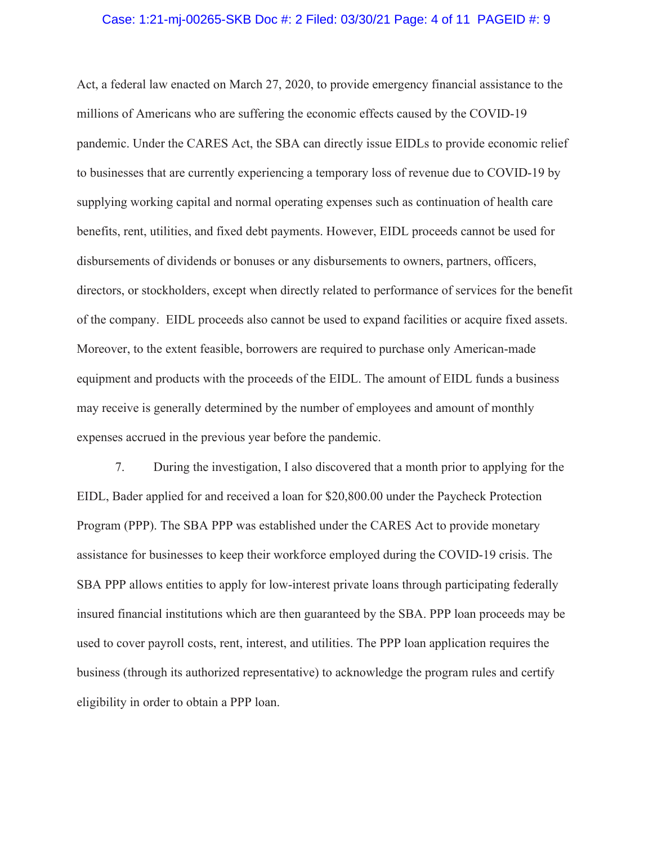## Case: 1:21-mj-00265-SKB Doc #: 2 Filed: 03/30/21 Page: 4 of 11 PAGEID #: 9

Act, a federal law enacted on March 27, 2020, to provide emergency financial assistance to the millions of Americans who are suffering the economic effects caused by the COVID-19 pandemic. Under the CARES Act, the SBA can directly issue EIDLs to provide economic relief to businesses that are currently experiencing a temporary loss of revenue due to COVID-19 by supplying working capital and normal operating expenses such as continuation of health care benefits, rent, utilities, and fixed debt payments. However, EIDL proceeds cannot be used for disbursements of dividends or bonuses or any disbursements to owners, partners, officers, directors, or stockholders, except when directly related to performance of services for the benefit of the company. EIDL proceeds also cannot be used to expand facilities or acquire fixed assets. Moreover, to the extent feasible, borrowers are required to purchase only American-made equipment and products with the proceeds of the EIDL. The amount of EIDL funds a business may receive is generally determined by the number of employees and amount of monthly expenses accrued in the previous year before the pandemic.

7. During the investigation, I also discovered that a month prior to applying for the EIDL, Bader applied for and received a loan for \$20,800.00 under the Paycheck Protection Program (PPP). The SBA PPP was established under the CARES Act to provide monetary assistance for businesses to keep their workforce employed during the COVID-19 crisis. The SBA PPP allows entities to apply for low-interest private loans through participating federally insured financial institutions which are then guaranteed by the SBA. PPP loan proceeds may be used to cover payroll costs, rent, interest, and utilities. The PPP loan application requires the business (through its authorized representative) to acknowledge the program rules and certify eligibility in order to obtain a PPP loan.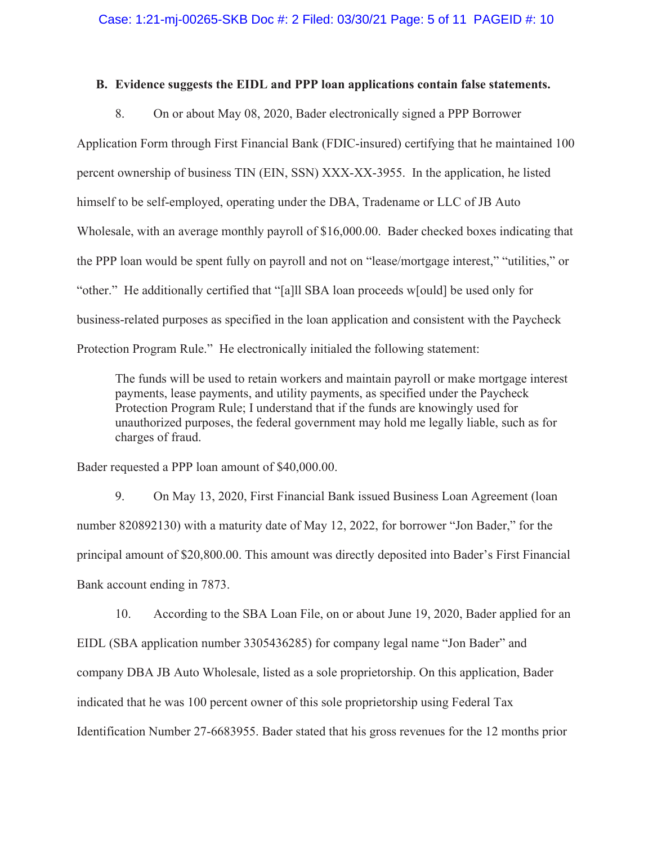#### **B. Evidence suggests the EIDL and PPP loan applications contain false statements.**

8. On or about May 08, 2020, Bader electronically signed a PPP Borrower Application Form through First Financial Bank (FDIC-insured) certifying that he maintained 100 percent ownership of business TIN (EIN, SSN) XXX-XX-3955. In the application, he listed himself to be self-employed, operating under the DBA, Tradename or LLC of JB Auto Wholesale, with an average monthly payroll of \$16,000.00. Bader checked boxes indicating that the PPP loan would be spent fully on payroll and not on "lease/mortgage interest," "utilities," or "other." He additionally certified that "[a]ll SBA loan proceeds w[ould] be used only for business-related purposes as specified in the loan application and consistent with the Paycheck Protection Program Rule." He electronically initialed the following statement:

The funds will be used to retain workers and maintain payroll or make mortgage interest payments, lease payments, and utility payments, as specified under the Paycheck Protection Program Rule; I understand that if the funds are knowingly used for unauthorized purposes, the federal government may hold me legally liable, such as for charges of fraud.

Bader requested a PPP loan amount of \$40,000.00.

9. On May 13, 2020, First Financial Bank issued Business Loan Agreement (loan number 820892130) with a maturity date of May 12, 2022, for borrower "Jon Bader," for the principal amount of \$20,800.00. This amount was directly deposited into Bader's First Financial Bank account ending in 7873.

10. According to the SBA Loan File, on or about June 19, 2020, Bader applied for an EIDL (SBA application number 3305436285) for company legal name "Jon Bader" and company DBA JB Auto Wholesale, listed as a sole proprietorship. On this application, Bader indicated that he was 100 percent owner of this sole proprietorship using Federal Tax Identification Number 27-6683955. Bader stated that his gross revenues for the 12 months prior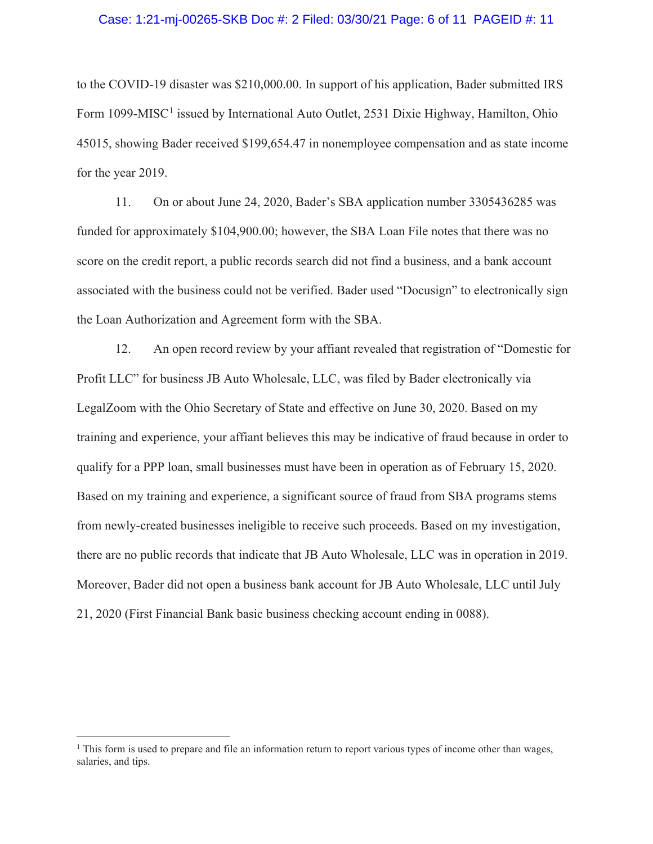#### Case: 1:21-mj-00265-SKB Doc #: 2 Filed: 03/30/21 Page: 6 of 11 PAGEID #: 11

to the COVID-19 disaster was \$210,000.00. In support of his application, Bader submitted IRS Form 1099-MISC<sup>1</sup> issued by International Auto Outlet, 2531 Dixie Highway, Hamilton, Ohio 45015, showing Bader received \$199,654.47 in nonemployee compensation and as state income for the year 2019.

11. On or about June 24, 2020, Bader's SBA application number 3305436285 was funded for approximately \$104,900.00; however, the SBA Loan File notes that there was no score on the credit report, a public records search did not find a business, and a bank account associated with the business could not be verified. Bader used "Docusign" to electronically sign the Loan Authorization and Agreement form with the SBA.

12. An open record review by your affiant revealed that registration of "Domestic for Profit LLC" for business JB Auto Wholesale, LLC, was filed by Bader electronically via LegalZoom with the Ohio Secretary of State and effective on June 30, 2020. Based on my training and experience, your affiant believes this may be indicative of fraud because in order to qualify for a PPP loan, small businesses must have been in operation as of February 15, 2020. Based on my training and experience, a significant source of fraud from SBA programs stems from newly-created businesses ineligible to receive such proceeds. Based on my investigation, there are no public records that indicate that JB Auto Wholesale, LLC was in operation in 2019. Moreover, Bader did not open a business bank account for JB Auto Wholesale, LLC until July 21, 2020 (First Financial Bank basic business checking account ending in 0088).

<sup>&</sup>lt;sup>1</sup> This form is used to prepare and file an information return to report various types of income other than wages, salaries, and tips.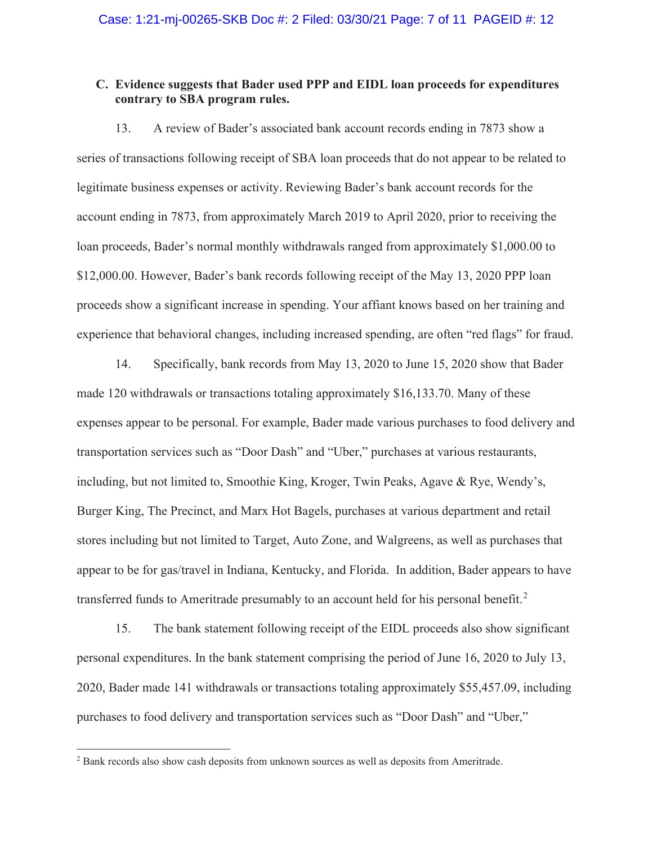# **C. Evidence suggests that Bader used PPP and EIDL loan proceeds for expenditures contrary to SBA program rules.**

13. A review of Bader's associated bank account records ending in 7873 show a series of transactions following receipt of SBA loan proceeds that do not appear to be related to legitimate business expenses or activity. Reviewing Bader's bank account records for the account ending in 7873, from approximately March 2019 to April 2020, prior to receiving the loan proceeds, Bader's normal monthly withdrawals ranged from approximately \$1,000.00 to \$12,000.00. However, Bader's bank records following receipt of the May 13, 2020 PPP loan proceeds show a significant increase in spending. Your affiant knows based on her training and experience that behavioral changes, including increased spending, are often "red flags" for fraud.

14. Specifically, bank records from May 13, 2020 to June 15, 2020 show that Bader made 120 withdrawals or transactions totaling approximately \$16,133.70. Many of these expenses appear to be personal. For example, Bader made various purchases to food delivery and transportation services such as "Door Dash" and "Uber," purchases at various restaurants, including, but not limited to, Smoothie King, Kroger, Twin Peaks, Agave & Rye, Wendy's, Burger King, The Precinct, and Marx Hot Bagels, purchases at various department and retail stores including but not limited to Target, Auto Zone, and Walgreens, as well as purchases that appear to be for gas/travel in Indiana, Kentucky, and Florida. In addition, Bader appears to have transferred funds to Ameritrade presumably to an account held for his personal benefit.<sup>2</sup>

15. The bank statement following receipt of the EIDL proceeds also show significant personal expenditures. In the bank statement comprising the period of June 16, 2020 to July 13, 2020, Bader made 141 withdrawals or transactions totaling approximately \$55,457.09, including purchases to food delivery and transportation services such as "Door Dash" and "Uber,"

<sup>&</sup>lt;sup>2</sup> Bank records also show cash deposits from unknown sources as well as deposits from Ameritrade.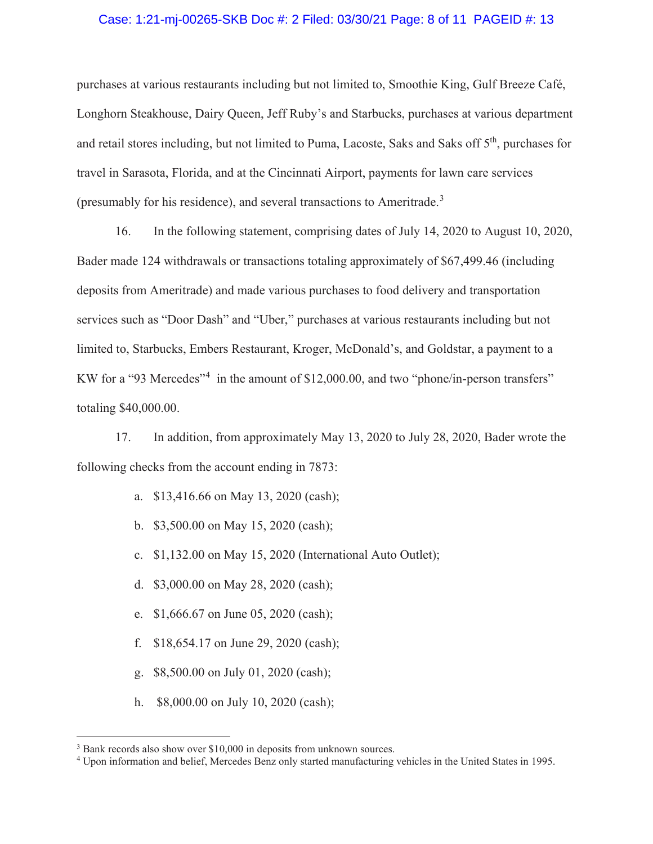## Case: 1:21-mj-00265-SKB Doc #: 2 Filed: 03/30/21 Page: 8 of 11 PAGEID #: 13

purchases at various restaurants including but not limited to, Smoothie King, Gulf Breeze Café, Longhorn Steakhouse, Dairy Queen, Jeff Ruby's and Starbucks, purchases at various department and retail stores including, but not limited to Puma, Lacoste, Saks and Saks off 5<sup>th</sup>, purchases for travel in Sarasota, Florida, and at the Cincinnati Airport, payments for lawn care services (presumably for his residence), and several transactions to Ameritrade.<sup>3</sup>

16. In the following statement, comprising dates of July 14, 2020 to August 10, 2020, Bader made 124 withdrawals or transactions totaling approximately of \$67,499.46 (including deposits from Ameritrade) and made various purchases to food delivery and transportation services such as "Door Dash" and "Uber," purchases at various restaurants including but not limited to, Starbucks, Embers Restaurant, Kroger, McDonald's, and Goldstar, a payment to a KW for a "93 Mercedes"<sup>4</sup> in the amount of \$12,000.00, and two "phone/in-person transfers" totaling \$40,000.00.

17. In addition, from approximately May 13, 2020 to July 28, 2020, Bader wrote the following checks from the account ending in 7873:

- a. \$13,416.66 on May 13, 2020 (cash);
- b. \$3,500.00 on May 15, 2020 (cash);
- c. \$1,132.00 on May 15, 2020 (International Auto Outlet);
- d. \$3,000.00 on May 28, 2020 (cash);
- e. \$1,666.67 on June 05, 2020 (cash);
- f. \$18,654.17 on June 29, 2020 (cash);
- g. \$8,500.00 on July 01, 2020 (cash);
- h. \$8,000.00 on July 10, 2020 (cash);

<sup>&</sup>lt;sup>3</sup> Bank records also show over \$10,000 in deposits from unknown sources.

<sup>4</sup> Upon information and belief, Mercedes Benz only started manufacturing vehicles in the United States in 1995.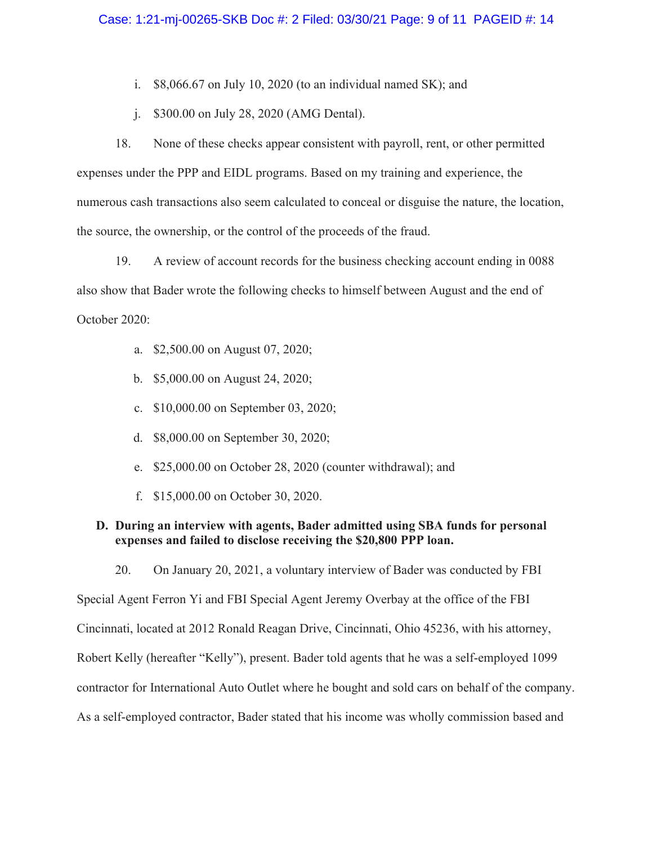- i. \$8,066.67 on July 10, 2020 (to an individual named SK); and
- j. \$300.00 on July 28, 2020 (AMG Dental).

18. None of these checks appear consistent with payroll, rent, or other permitted expenses under the PPP and EIDL programs. Based on my training and experience, the numerous cash transactions also seem calculated to conceal or disguise the nature, the location, the source, the ownership, or the control of the proceeds of the fraud.

19. A review of account records for the business checking account ending in 0088 also show that Bader wrote the following checks to himself between August and the end of October 2020:

- a. \$2,500.00 on August 07, 2020;
- b. \$5,000.00 on August 24, 2020;
- c. \$10,000.00 on September 03, 2020;
- d. \$8,000.00 on September 30, 2020;
- e. \$25,000.00 on October 28, 2020 (counter withdrawal); and
- f. \$15,000.00 on October 30, 2020.

# **D. During an interview with agents, Bader admitted using SBA funds for personal expenses and failed to disclose receiving the \$20,800 PPP loan.**

20. On January 20, 2021, a voluntary interview of Bader was conducted by FBI

Special Agent Ferron Yi and FBI Special Agent Jeremy Overbay at the office of the FBI

Cincinnati, located at 2012 Ronald Reagan Drive, Cincinnati, Ohio 45236, with his attorney,

Robert Kelly (hereafter "Kelly"), present. Bader told agents that he was a self-employed 1099

contractor for International Auto Outlet where he bought and sold cars on behalf of the company.

As a self-employed contractor, Bader stated that his income was wholly commission based and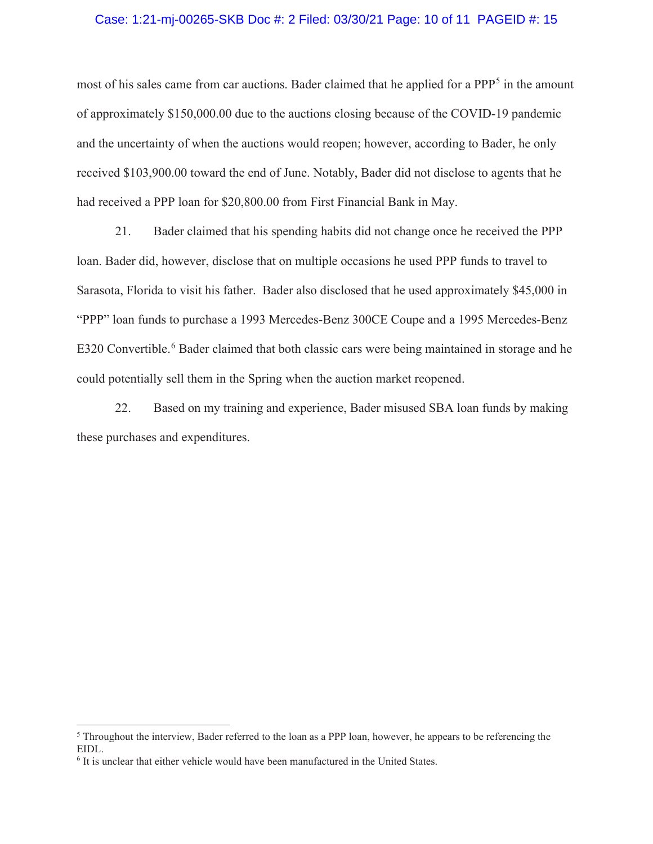## Case: 1:21-mj-00265-SKB Doc #: 2 Filed: 03/30/21 Page: 10 of 11 PAGEID #: 15

most of his sales came from car auctions. Bader claimed that he applied for a PPP<sup>5</sup> in the amount of approximately \$150,000.00 due to the auctions closing because of the COVID-19 pandemic and the uncertainty of when the auctions would reopen; however, according to Bader, he only received \$103,900.00 toward the end of June. Notably, Bader did not disclose to agents that he had received a PPP loan for \$20,800.00 from First Financial Bank in May.

21. Bader claimed that his spending habits did not change once he received the PPP loan. Bader did, however, disclose that on multiple occasions he used PPP funds to travel to Sarasota, Florida to visit his father. Bader also disclosed that he used approximately \$45,000 in "PPP" loan funds to purchase a 1993 Mercedes-Benz 300CE Coupe and a 1995 Mercedes-Benz E320 Convertible.<sup>6</sup> Bader claimed that both classic cars were being maintained in storage and he could potentially sell them in the Spring when the auction market reopened.

22. Based on my training and experience, Bader misused SBA loan funds by making these purchases and expenditures.

 $<sup>5</sup>$  Throughout the interview, Bader referred to the loan as a PPP loan, however, he appears to be referencing the</sup> EIDL.

<sup>&</sup>lt;sup>6</sup> It is unclear that either vehicle would have been manufactured in the United States.